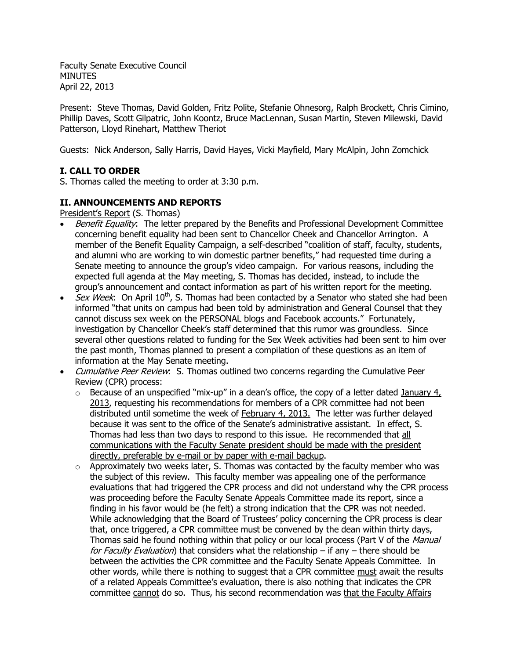Faculty Senate Executive Council **MINUTES** April 22, 2013

Present: Steve Thomas, David Golden, Fritz Polite, Stefanie Ohnesorg, Ralph Brockett, Chris Cimino, Phillip Daves, Scott Gilpatric, John Koontz, Bruce MacLennan, Susan Martin, Steven Milewski, David Patterson, Lloyd Rinehart, Matthew Theriot

Guests: Nick Anderson, Sally Harris, David Hayes, Vicki Mayfield, Mary McAlpin, John Zomchick

# **I. CALL TO ORDER**

S. Thomas called the meeting to order at 3:30 p.m.

# **II. ANNOUNCEMENTS AND REPORTS**

President's Report (S. Thomas)

- Benefit Equality: The letter prepared by the Benefits and Professional Development Committee concerning benefit equality had been sent to Chancellor Cheek and Chancellor Arrington. A member of the Benefit Equality Campaign, a self-described "coalition of staff, faculty, students, and alumni who are working to win domestic partner benefits," had requested time during a Senate meeting to announce the group's video campaign. For various reasons, including the expected full agenda at the May meeting, S. Thomas has decided, instead, to include the group's announcement and contact information as part of his written report for the meeting.
- *Sex Week*: On April  $10^{th}$ , S. Thomas had been contacted by a Senator who stated she had been informed "that units on campus had been told by administration and General Counsel that they cannot discuss sex week on the PERSONAL blogs and Facebook accounts." Fortunately, investigation by Chancellor Cheek's staff determined that this rumor was groundless. Since several other questions related to funding for the Sex Week activities had been sent to him over the past month, Thomas planned to present a compilation of these questions as an item of information at the May Senate meeting.
- Cumulative Peer Review: S. Thomas outlined two concerns regarding the Cumulative Peer Review (CPR) process:
	- $\circ$  Because of an unspecified "mix-up" in a dean's office, the copy of a letter dated January 4, 2013, requesting his recommendations for members of a CPR committee had not been distributed until sometime the week of February 4, 2013. The letter was further delayed because it was sent to the office of the Senate's administrative assistant. In effect, S. Thomas had less than two days to respond to this issue. He recommended that all communications with the Faculty Senate president should be made with the president directly, preferable by e-mail or by paper with e-mail backup.
	- $\circ$  Approximately two weeks later, S. Thomas was contacted by the faculty member who was the subject of this review. This faculty member was appealing one of the performance evaluations that had triggered the CPR process and did not understand why the CPR process was proceeding before the Faculty Senate Appeals Committee made its report, since a finding in his favor would be (he felt) a strong indication that the CPR was not needed. While acknowledging that the Board of Trustees' policy concerning the CPR process is clear that, once triggered, a CPR committee must be convened by the dean within thirty days, Thomas said he found nothing within that policy or our local process (Part V of the Manual for Faculty Evaluation) that considers what the relationship – if any – there should be between the activities the CPR committee and the Faculty Senate Appeals Committee. In other words, while there is nothing to suggest that a CPR committee must await the results of a related Appeals Committee's evaluation, there is also nothing that indicates the CPR committee cannot do so. Thus, his second recommendation was that the Faculty Affairs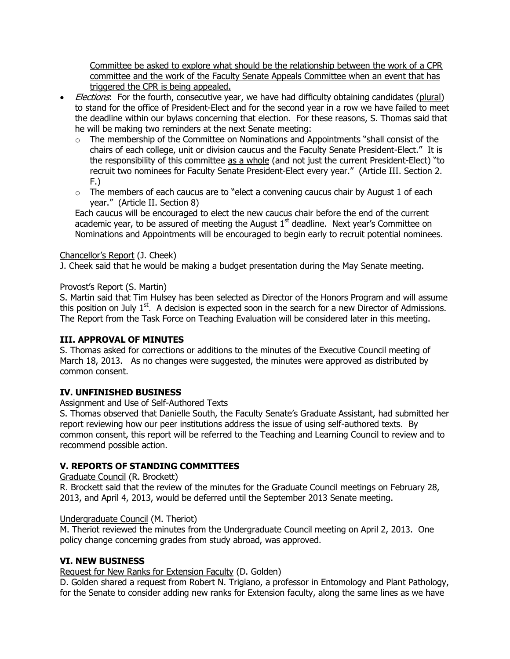Committee be asked to explore what should be the relationship between the work of a CPR committee and the work of the Faculty Senate Appeals Committee when an event that has triggered the CPR is being appealed.

- Elections: For the fourth, consecutive year, we have had difficulty obtaining candidates (plural) to stand for the office of President-Elect and for the second year in a row we have failed to meet the deadline within our bylaws concerning that election. For these reasons, S. Thomas said that he will be making two reminders at the next Senate meeting:
	- $\circ$  The membership of the Committee on Nominations and Appointments "shall consist of the chairs of each college, unit or division caucus and the Faculty Senate President-Elect." It is the responsibility of this committee as a whole (and not just the current President-Elect) "to recruit two nominees for Faculty Senate President-Elect every year." (Article III. Section 2. F.)
	- $\circ$  The members of each caucus are to "elect a convening caucus chair by August 1 of each year." (Article II. Section 8)

Each caucus will be encouraged to elect the new caucus chair before the end of the current academic year, to be assured of meeting the August  $1<sup>st</sup>$  deadline. Next year's Committee on Nominations and Appointments will be encouraged to begin early to recruit potential nominees.

## Chancellor's Report (J. Cheek)

J. Cheek said that he would be making a budget presentation during the May Senate meeting.

## Provost's Report (S. Martin)

S. Martin said that Tim Hulsey has been selected as Director of the Honors Program and will assume this position on July  $1<sup>st</sup>$ . A decision is expected soon in the search for a new Director of Admissions. The Report from the Task Force on Teaching Evaluation will be considered later in this meeting.

## **III. APPROVAL OF MINUTES**

S. Thomas asked for corrections or additions to the minutes of the Executive Council meeting of March 18, 2013. As no changes were suggested, the minutes were approved as distributed by common consent.

# **IV. UNFINISHED BUSINESS**

## Assignment and Use of Self-Authored Texts

S. Thomas observed that Danielle South, the Faculty Senate's Graduate Assistant, had submitted her report reviewing how our peer institutions address the issue of using self-authored texts. By common consent, this report will be referred to the Teaching and Learning Council to review and to recommend possible action.

# **V. REPORTS OF STANDING COMMITTEES**

## Graduate Council (R. Brockett)

R. Brockett said that the review of the minutes for the Graduate Council meetings on February 28, 2013, and April 4, 2013, would be deferred until the September 2013 Senate meeting.

## Undergraduate Council (M. Theriot)

M. Theriot reviewed the minutes from the Undergraduate Council meeting on April 2, 2013. One policy change concerning grades from study abroad, was approved.

## **VI. NEW BUSINESS**

Request for New Ranks for Extension Faculty (D. Golden)

D. Golden shared a request from Robert N. Trigiano, a professor in Entomology and Plant Pathology, for the Senate to consider adding new ranks for Extension faculty, along the same lines as we have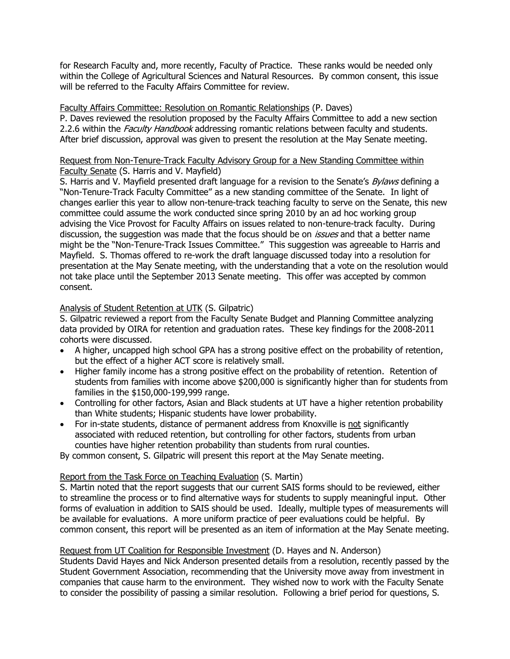for Research Faculty and, more recently, Faculty of Practice. These ranks would be needed only within the College of Agricultural Sciences and Natural Resources. By common consent, this issue will be referred to the Faculty Affairs Committee for review.

#### Faculty Affairs Committee: Resolution on Romantic Relationships (P. Daves)

P. Daves reviewed the resolution proposed by the Faculty Affairs Committee to add a new section 2.2.6 within the *Faculty Handbook* addressing romantic relations between faculty and students. After brief discussion, approval was given to present the resolution at the May Senate meeting.

#### Request from Non-Tenure-Track Faculty Advisory Group for a New Standing Committee within Faculty Senate (S. Harris and V. Mayfield)

S. Harris and V. Mayfield presented draft language for a revision to the Senate's *Bylaws* defining a "Non-Tenure-Track Faculty Committee" as a new standing committee of the Senate. In light of changes earlier this year to allow non-tenure-track teaching faculty to serve on the Senate, this new committee could assume the work conducted since spring 2010 by an ad hoc working group advising the Vice Provost for Faculty Affairs on issues related to non-tenure-track faculty. During discussion, the suggestion was made that the focus should be on *issues* and that a better name might be the "Non-Tenure-Track Issues Committee." This suggestion was agreeable to Harris and Mayfield. S. Thomas offered to re-work the draft language discussed today into a resolution for presentation at the May Senate meeting, with the understanding that a vote on the resolution would not take place until the September 2013 Senate meeting. This offer was accepted by common consent.

#### Analysis of Student Retention at UTK (S. Gilpatric)

S. Gilpatric reviewed a report from the Faculty Senate Budget and Planning Committee analyzing data provided by OIRA for retention and graduation rates. These key findings for the 2008-2011 cohorts were discussed.

- A higher, uncapped high school GPA has a strong positive effect on the probability of retention, but the effect of a higher ACT score is relatively small.
- Higher family income has a strong positive effect on the probability of retention. Retention of students from families with income above \$200,000 is significantly higher than for students from families in the \$150,000-199,999 range.
- Controlling for other factors, Asian and Black students at UT have a higher retention probability than White students; Hispanic students have lower probability.
- For in-state students, distance of permanent address from Knoxville is not significantly associated with reduced retention, but controlling for other factors, students from urban counties have higher retention probability than students from rural counties.

By common consent, S. Gilpatric will present this report at the May Senate meeting.

#### Report from the Task Force on Teaching Evaluation (S. Martin)

S. Martin noted that the report suggests that our current SAIS forms should to be reviewed, either to streamline the process or to find alternative ways for students to supply meaningful input. Other forms of evaluation in addition to SAIS should be used. Ideally, multiple types of measurements will be available for evaluations. A more uniform practice of peer evaluations could be helpful. By common consent, this report will be presented as an item of information at the May Senate meeting.

#### Request from UT Coalition for Responsible Investment (D. Hayes and N. Anderson)

Students David Hayes and Nick Anderson presented details from a resolution, recently passed by the Student Government Association, recommending that the University move away from investment in companies that cause harm to the environment. They wished now to work with the Faculty Senate to consider the possibility of passing a similar resolution. Following a brief period for questions, S.